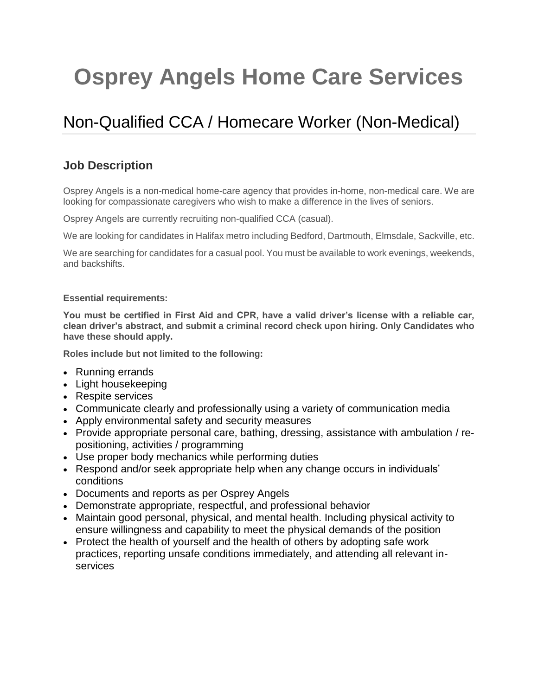## **Osprey Angels Home Care Services**

## Non-Qualified CCA / Homecare Worker (Non-Medical)

## **Job Description**

Osprey Angels is a non-medical home-care agency that provides in-home, non-medical care. We are looking for compassionate caregivers who wish to make a difference in the lives of seniors.

Osprey Angels are currently recruiting non-qualified CCA (casual).

We are looking for candidates in Halifax metro including Bedford, Dartmouth, Elmsdale, Sackville, etc.

We are searching for candidates for a casual pool. You must be available to work evenings, weekends, and backshifts.

## **Essential requirements:**

**You must be certified in First Aid and CPR, have a valid driver's license with a reliable car, clean driver's abstract, and submit a criminal record check upon hiring. Only Candidates who have these should apply.**

**Roles include but not limited to the following:**

- Running errands
- Light housekeeping
- Respite services
- Communicate clearly and professionally using a variety of communication media
- Apply environmental safety and security measures
- Provide appropriate personal care, bathing, dressing, assistance with ambulation / repositioning, activities / programming
- Use proper body mechanics while performing duties
- Respond and/or seek appropriate help when any change occurs in individuals' conditions
- Documents and reports as per Osprey Angels
- Demonstrate appropriate, respectful, and professional behavior
- Maintain good personal, physical, and mental health. Including physical activity to ensure willingness and capability to meet the physical demands of the position
- Protect the health of yourself and the health of others by adopting safe work practices, reporting unsafe conditions immediately, and attending all relevant inservices